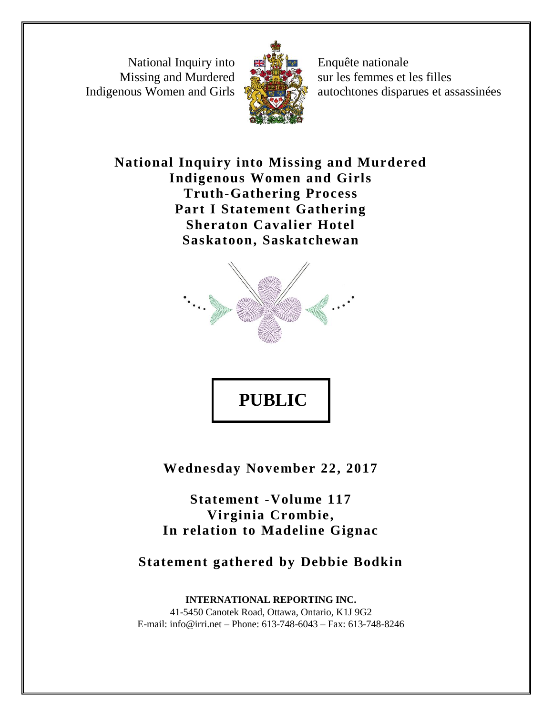National Inquiry into Missing and Murdered Indigenous Women and Girls



Enquête nationale sur les femmes et les filles autochtones disparues et assassinées

**National Inquiry into Missing and Murdered Indigenous Women and Girls Truth-Gathering Process Part I Statement Gathering Sheraton Cavalier Hotel Saskatoon, Saskatchewan**



**PUBLIC** 

**Wednesday November 22, 2017**

**Statement -Volume 117 Virginia Crombie, In relation to Madeline Gignac**

**Statement gathered by Debbie Bodkin**

**INTERNATIONAL REPORTING INC.** 41-5450 Canotek Road, Ottawa, Ontario, K1J 9G2 E-mail: info@irri.net – Phone: 613-748-6043 – Fax: 613-748-8246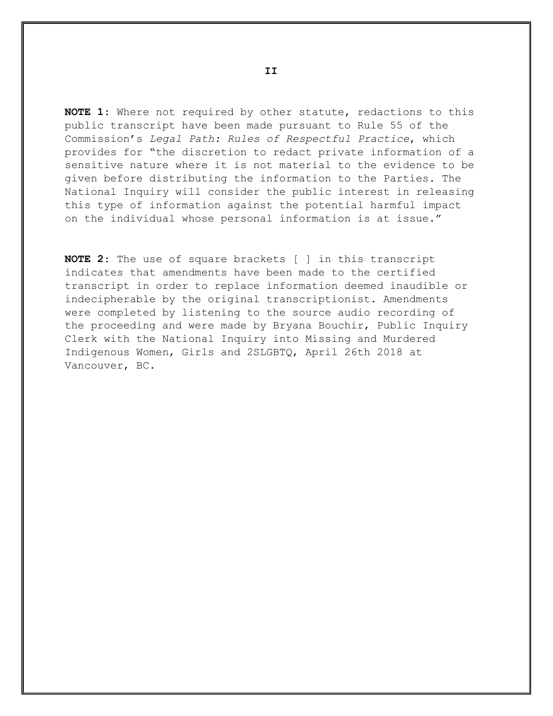**NOTE 1:** Where not required by other statute, redactions to this public transcript have been made pursuant to Rule 55 of the Commission's *Legal Path: Rules of Respectful Practice*, which provides for "the discretion to redact private information of a sensitive nature where it is not material to the evidence to be given before distributing the information to the Parties. The National Inquiry will consider the public interest in releasing this type of information against the potential harmful impact on the individual whose personal information is at issue."

**NOTE 2**: The use of square brackets [ ] in this transcript indicates that amendments have been made to the certified transcript in order to replace information deemed inaudible or indecipherable by the original transcriptionist. Amendments were completed by listening to the source audio recording of the proceeding and were made by Bryana Bouchir, Public Inquiry Clerk with the National Inquiry into Missing and Murdered Indigenous Women, Girls and 2SLGBTQ, April 26th 2018 at Vancouver, BC.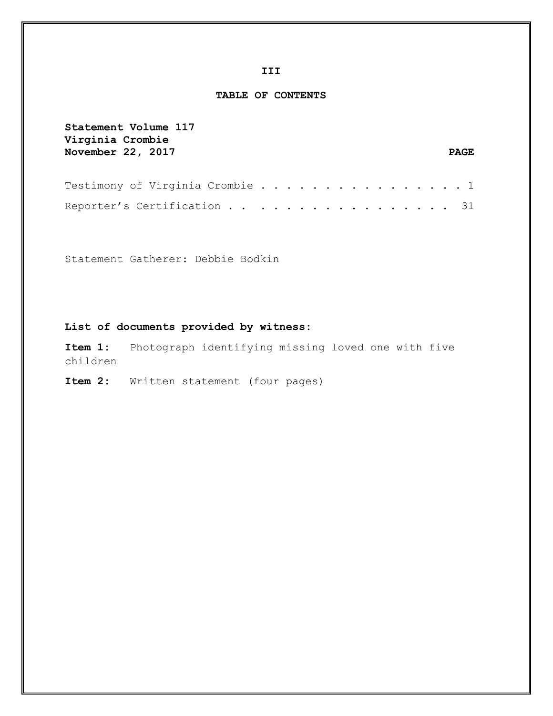**III**

#### **TABLE OF CONTENTS**

**Statement Volume 117 Virginia Crombie**  November 22, 2017 PAGE Testimony of Virginia Crombie . . . . . . . . . . . . . . . . 1 Reporter's Certification . . . . . . . . . . . . . . . . 31

Statement Gatherer: Debbie Bodkin

#### **List of documents provided by witness:**

**Item 1:** Photograph identifying missing loved one with five children

**Item 2:** Written statement (four pages)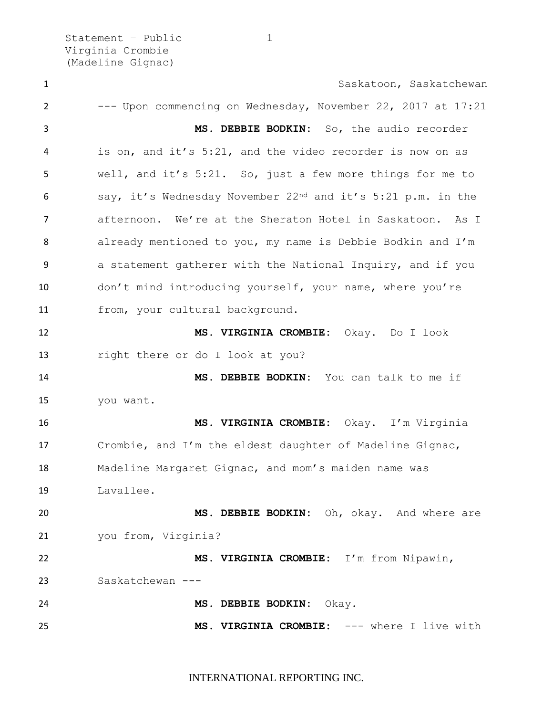Statement - Public 1 Virginia Crombie (Madeline Gignac)

1 Saskatoon, Saskatchewan --- Upon commencing on Wednesday, November 22, 2017 at 17:21 **MS. DEBBIE BODKIN:** So, the audio recorder is on, and it's 5:21, and the video recorder is now on as well, and it's 5:21. So, just a few more things for me to say, it's Wednesday November 22nd and it's 5:21 p.m. in the afternoon. We're at the Sheraton Hotel in Saskatoon. As I already mentioned to you, my name is Debbie Bodkin and I'm a statement gatherer with the National Inquiry, and if you don't mind introducing yourself, your name, where you're from, your cultural background. **MS. VIRGINIA CROMBIE:** Okay. Do I look right there or do I look at you? **MS. DEBBIE BODKIN:** You can talk to me if you want. **MS. VIRGINIA CROMBIE:** Okay. I'm Virginia Crombie, and I'm the eldest daughter of Madeline Gignac, Madeline Margaret Gignac, and mom's maiden name was Lavallee. **MS. DEBBIE BODKIN:** Oh, okay. And where are you from, Virginia? **MS. VIRGINIA CROMBIE:** I'm from Nipawin, Saskatchewan --- **MS. DEBBIE BODKIN:** Okay. **MS. VIRGINIA CROMBIE:** --- where I live with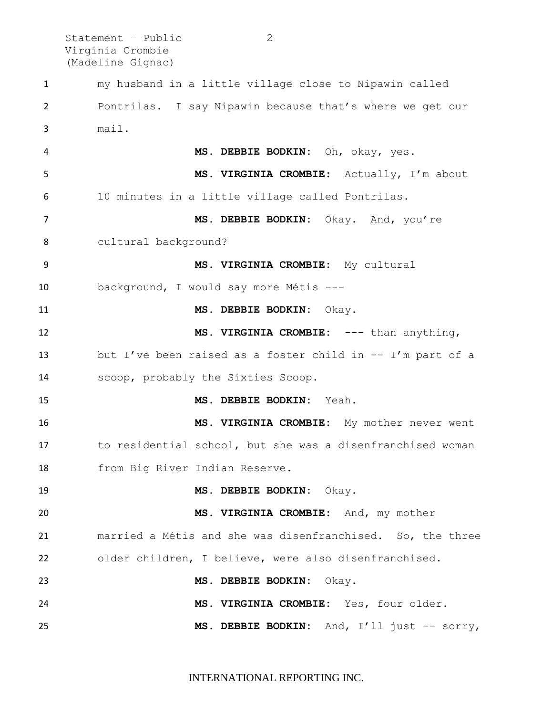Statement – Public 2 Virginia Crombie (Madeline Gignac)

 my husband in a little village close to Nipawin called Pontrilas. I say Nipawin because that's where we get our mail. **MS. DEBBIE BODKIN:** Oh, okay, yes. **MS. VIRGINIA CROMBIE:** Actually, I'm about 10 minutes in a little village called Pontrilas. **MS. DEBBIE BODKIN:** Okay. And, you're cultural background? **MS. VIRGINIA CROMBIE:** My cultural background, I would say more Métis --- **MS. DEBBIE BODKIN:** Okay. **MS. VIRGINIA CROMBIE:** --- than anything, but I've been raised as a foster child in -- I'm part of a scoop, probably the Sixties Scoop. **MS. DEBBIE BODKIN:** Yeah. **MS. VIRGINIA CROMBIE:** My mother never went to residential school, but she was a disenfranchised woman from Big River Indian Reserve. **MS. DEBBIE BODKIN:** Okay. **MS. VIRGINIA CROMBIE:** And, my mother married a Métis and she was disenfranchised. So, the three older children, I believe, were also disenfranchised. **MS. DEBBIE BODKIN:** Okay. **MS. VIRGINIA CROMBIE:** Yes, four older. **MS. DEBBIE BODKIN:** And, I'll just -- sorry,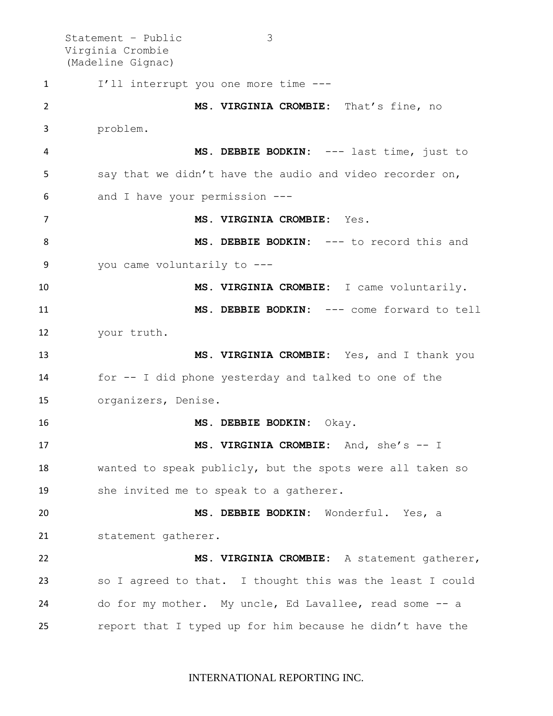Statement – Public 3 Virginia Crombie (Madeline Gignac) I'll interrupt you one more time --- **MS. VIRGINIA CROMBIE:** That's fine, no problem. **MS. DEBBIE BODKIN:** --- last time, just to say that we didn't have the audio and video recorder on, and I have your permission --- **MS. VIRGINIA CROMBIE:** Yes. **MS. DEBBIE BODKIN:** --- to record this and you came voluntarily to --- **MS. VIRGINIA CROMBIE:** I came voluntarily. **MS. DEBBIE BODKIN:** --- come forward to tell your truth. **MS. VIRGINIA CROMBIE:** Yes, and I thank you for -- I did phone yesterday and talked to one of the organizers, Denise. **MS. DEBBIE BODKIN:** Okay. **MS. VIRGINIA CROMBIE:** And, she's -- I wanted to speak publicly, but the spots were all taken so she invited me to speak to a gatherer. **MS. DEBBIE BODKIN:** Wonderful. Yes, a statement gatherer. **MS. VIRGINIA CROMBIE:** A statement gatherer, so I agreed to that. I thought this was the least I could do for my mother. My uncle, Ed Lavallee, read some -- a report that I typed up for him because he didn't have the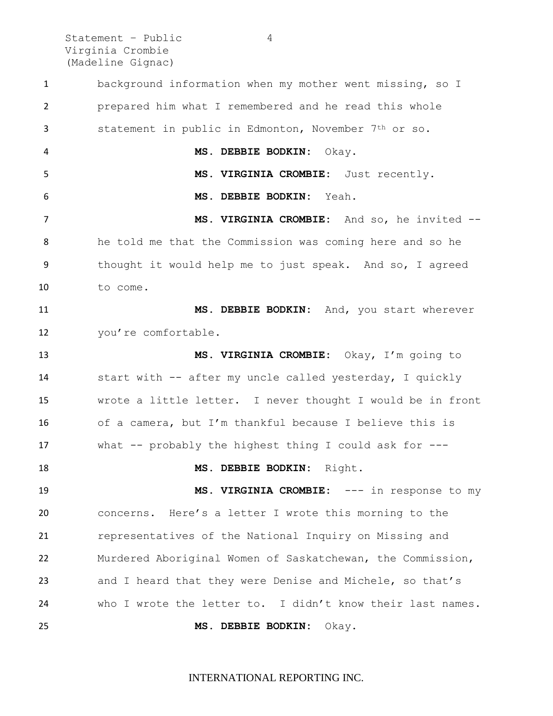Statement – Public 4 Virginia Crombie (Madeline Gignac)

 background information when my mother went missing, so I prepared him what I remembered and he read this whole statement in public in Edmonton, November 7th or so. **MS. DEBBIE BODKIN:** Okay. **MS. VIRGINIA CROMBIE:** Just recently. **MS. DEBBIE BODKIN:** Yeah. **MS. VIRGINIA CROMBIE:** And so, he invited -- he told me that the Commission was coming here and so he thought it would help me to just speak. And so, I agreed to come. **MS. DEBBIE BODKIN:** And, you start wherever 12 you're comfortable. **MS. VIRGINIA CROMBIE:** Okay, I'm going to start with -- after my uncle called yesterday, I quickly wrote a little letter. I never thought I would be in front of a camera, but I'm thankful because I believe this is what -- probably the highest thing I could ask for --- **MS. DEBBIE BODKIN:** Right. **MS. VIRGINIA CROMBIE:** --- in response to my concerns. Here's a letter I wrote this morning to the representatives of the National Inquiry on Missing and Murdered Aboriginal Women of Saskatchewan, the Commission, and I heard that they were Denise and Michele, so that's who I wrote the letter to. I didn't know their last names. **MS. DEBBIE BODKIN:** Okay.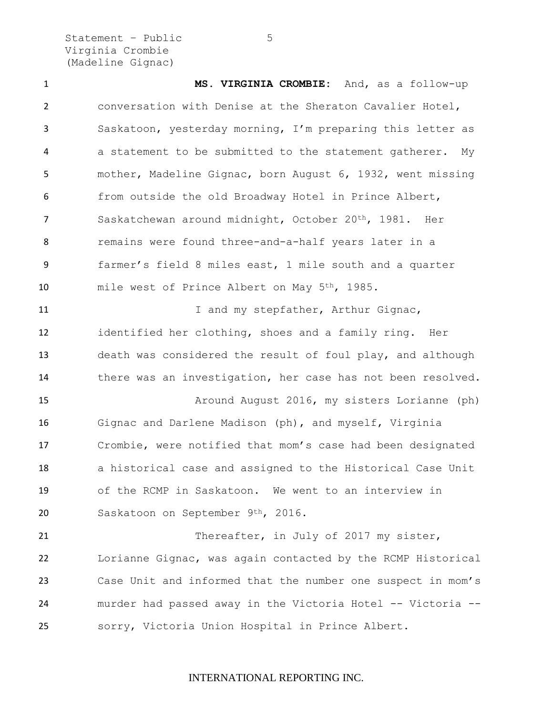Statement – Public 5 Virginia Crombie (Madeline Gignac)

 **MS. VIRGINIA CROMBIE:** And, as a follow-up conversation with Denise at the Sheraton Cavalier Hotel, Saskatoon, yesterday morning, I'm preparing this letter as a statement to be submitted to the statement gatherer. My mother, Madeline Gignac, born August 6, 1932, went missing from outside the old Broadway Hotel in Prince Albert, Saskatchewan around midnight, October 20th, 1981. Her remains were found three-and-a-half years later in a farmer's field 8 miles east, 1 mile south and a quarter mile west of Prince Albert on May 5th, 1985. 11 11 I and my stepfather, Arthur Gignac, identified her clothing, shoes and a family ring. Her death was considered the result of foul play, and although there was an investigation, her case has not been resolved. Around August 2016, my sisters Lorianne (ph) Gignac and Darlene Madison (ph), and myself, Virginia Crombie, were notified that mom's case had been designated a historical case and assigned to the Historical Case Unit of the RCMP in Saskatoon. We went to an interview in Saskatoon on September 9th, 2016. 21 Thereafter, in July of 2017 my sister, Lorianne Gignac, was again contacted by the RCMP Historical

 Case Unit and informed that the number one suspect in mom's murder had passed away in the Victoria Hotel -- Victoria -- sorry, Victoria Union Hospital in Prince Albert.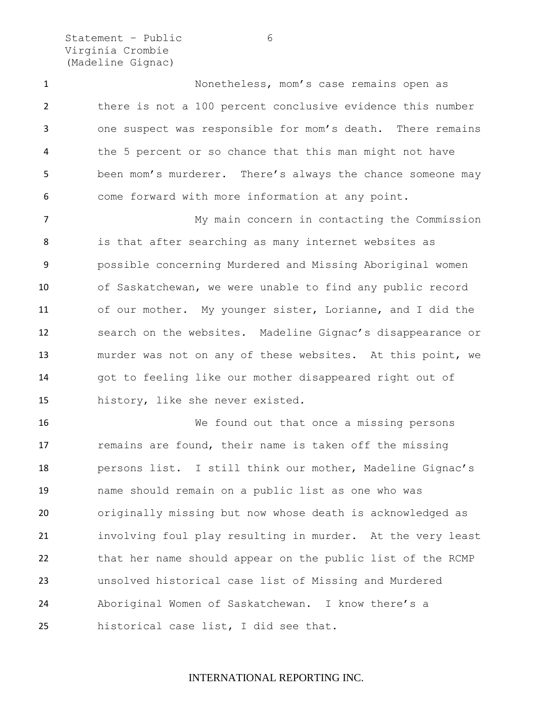Statement - Public 6 Virginia Crombie (Madeline Gignac)

 Nonetheless, mom's case remains open as there is not a 100 percent conclusive evidence this number one suspect was responsible for mom's death. There remains the 5 percent or so chance that this man might not have been mom's murderer. There's always the chance someone may come forward with more information at any point.

 My main concern in contacting the Commission is that after searching as many internet websites as possible concerning Murdered and Missing Aboriginal women of Saskatchewan, we were unable to find any public record of our mother. My younger sister, Lorianne, and I did the search on the websites. Madeline Gignac's disappearance or murder was not on any of these websites. At this point, we got to feeling like our mother disappeared right out of history, like she never existed.

 We found out that once a missing persons remains are found, their name is taken off the missing persons list. I still think our mother, Madeline Gignac's name should remain on a public list as one who was originally missing but now whose death is acknowledged as involving foul play resulting in murder. At the very least that her name should appear on the public list of the RCMP unsolved historical case list of Missing and Murdered Aboriginal Women of Saskatchewan. I know there's a historical case list, I did see that.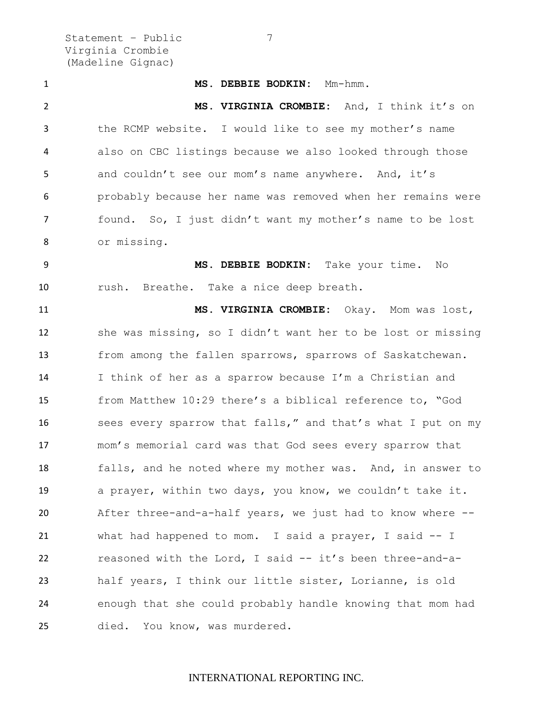Statement – Public 7 Virginia Crombie (Madeline Gignac)

 **MS. DEBBIE BODKIN:** Mm-hmm. **MS. VIRGINIA CROMBIE:** And, I think it's on the RCMP website. I would like to see my mother's name also on CBC listings because we also looked through those and couldn't see our mom's name anywhere.And, it's probably because her name was removed when her remains were found. So, I just didn't want my mother's name to be lost or missing. **MS. DEBBIE BODKIN:** Take your time. No rush. Breathe. Take a nice deep breath. **MS. VIRGINIA CROMBIE:** Okay. Mom was lost, she was missing, so I didn't want her to be lost or missing from among the fallen sparrows, sparrows of Saskatchewan. I think of her as a sparrow because I'm a Christian and from Matthew 10:29 there's a biblical reference to, "God sees every sparrow that falls," and that's what I put on my mom's memorial card was that God sees every sparrow that falls, and he noted where my mother was. And, in answer to a prayer, within two days, you know, we couldn't take it. After three-and-a-half years, we just had to know where -- what had happened to mom. I said a prayer, I said -- I reasoned with the Lord, I said -- it's been three-and-a- half years, I think our little sister, Lorianne, is old enough that she could probably handle knowing that mom had died. You know, was murdered.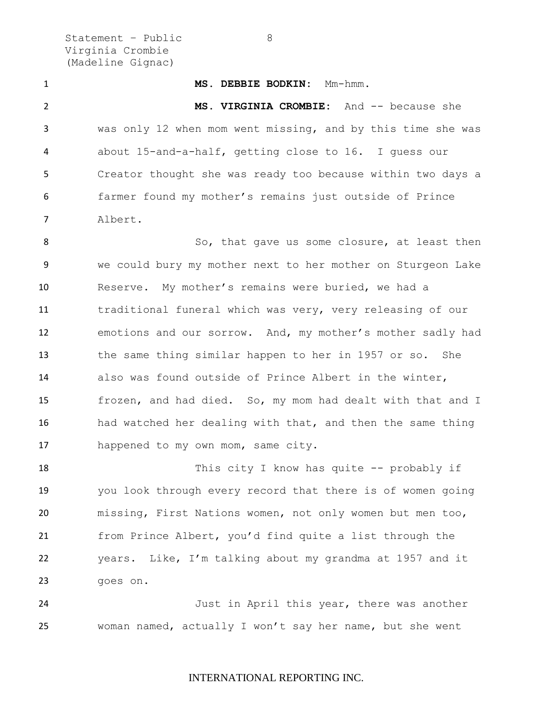Statement – Public 8 Virginia Crombie (Madeline Gignac)

 **MS. DEBBIE BODKIN:** Mm-hmm. **MS. VIRGINIA CROMBIE:** And -- because she was only 12 when mom went missing, and by this time she was about 15-and-a-half, getting close to 16. I guess our Creator thought she was ready too because within two days a farmer found my mother's remains just outside of Prince Albert. 8 So, that gave us some closure, at least then we could bury my mother next to her mother on Sturgeon Lake Reserve. My mother's remains were buried, we had a

 traditional funeral which was very, very releasing of our emotions and our sorrow. And, my mother's mother sadly had the same thing similar happen to her in 1957 or so. She also was found outside of Prince Albert in the winter, frozen, and had died. So, my mom had dealt with that and I had watched her dealing with that, and then the same thing happened to my own mom, same city.

18 This city I know has quite -- probably if you look through every record that there is of women going missing, First Nations women, not only women but men too, from Prince Albert, you'd find quite a list through the years. Like, I'm talking about my grandma at 1957 and it goes on.

 Just in April this year, there was another woman named, actually I won't say her name, but she went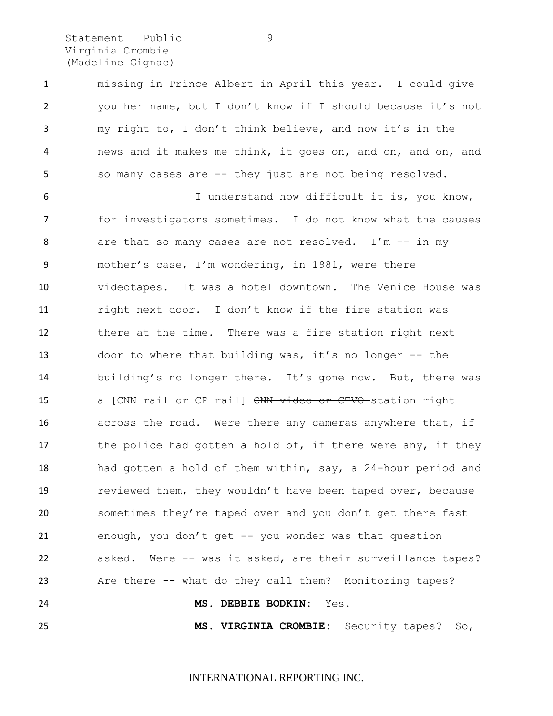Statement - Public 9 Virginia Crombie (Madeline Gignac)

 missing in Prince Albert in April this year. I could give you her name, but I don't know if I should because it's not my right to, I don't think believe, and now it's in the news and it makes me think, it goes on, and on, and on, and so many cases are -- they just are not being resolved.

 I understand how difficult it is, you know, for investigators sometimes. I do not know what the causes 8 are that so many cases are not resolved. I'm -- in my mother's case, I'm wondering, in 1981, were there videotapes. It was a hotel downtown. The Venice House was right next door. I don't know if the fire station was there at the time. There was a fire station right next door to where that building was, it's no longer -- the building's no longer there. It's gone now. But, there was 15 a [CNN rail or CP rail] CNN video or CTVO station right 16 across the road. Were there any cameras anywhere that, if 17 the police had gotten a hold of, if there were any, if they had gotten a hold of them within, say, a 24-hour period and reviewed them, they wouldn't have been taped over, because sometimes they're taped over and you don't get there fast enough, you don't get -- you wonder was that question asked. Were -- was it asked, are their surveillance tapes? Are there -- what do they call them? Monitoring tapes? **MS. DEBBIE BODKIN:** Yes.

**MS. VIRGINIA CROMBIE:** Security tapes? So,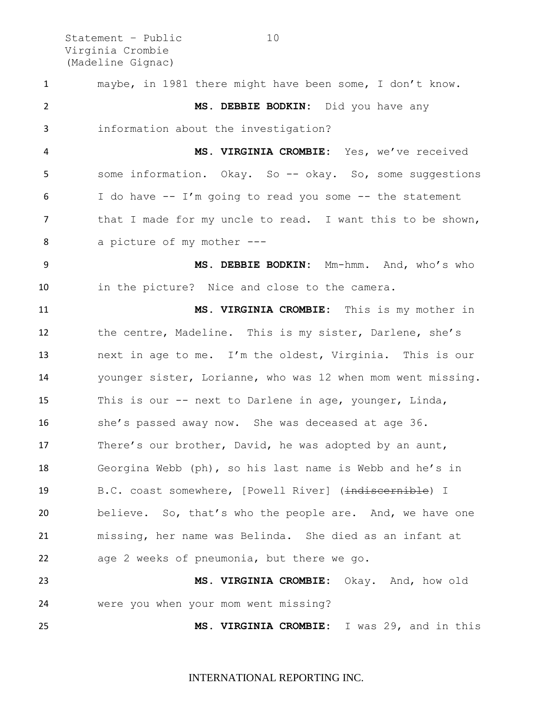Statement – Public 10 Virginia Crombie (Madeline Gignac)

 maybe, in 1981 there might have been some, I don't know. **MS. DEBBIE BODKIN:** Did you have any information about the investigation? **MS. VIRGINIA CROMBIE:** Yes, we've received some information. Okay. So -- okay. So, some suggestions 6 I do have  $-$  I'm going to read you some  $-$  the statement 7 that I made for my uncle to read. I want this to be shown, a picture of my mother --- **MS. DEBBIE BODKIN:** Mm-hmm. And, who's who in the picture? Nice and close to the camera. **MS. VIRGINIA CROMBIE:** This is my mother in the centre, Madeline. This is my sister, Darlene, she's next in age to me. I'm the oldest, Virginia. This is our younger sister, Lorianne, who was 12 when mom went missing. This is our -- next to Darlene in age, younger, Linda, she's passed away now. She was deceased at age 36. 17 There's our brother, David, he was adopted by an aunt, Georgina Webb (ph), so his last name is Webb and he's in 19 B.C. coast somewhere, [Powell River] (indiscernible) I believe. So, that's who the people are. And, we have one missing, her name was Belinda. She died as an infant at age 2 weeks of pneumonia, but there we go. **MS. VIRGINIA CROMBIE:** Okay. And, how old were you when your mom went missing? **MS. VIRGINIA CROMBIE:** I was 29, and in this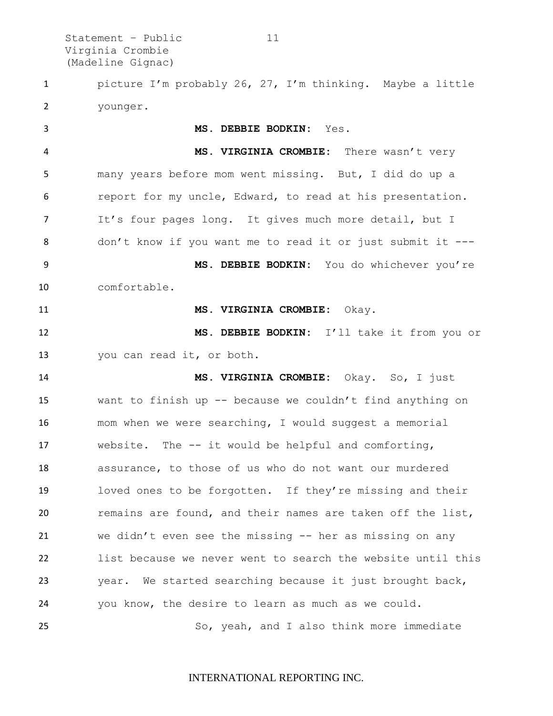Statement - Public 11 Virginia Crombie (Madeline Gignac)

 picture I'm probably 26, 27, I'm thinking. Maybe a little younger.

 **MS. DEBBIE BODKIN:** Yes. **MS. VIRGINIA CROMBIE:** There wasn't very many years before mom went missing. But, I did do up a report for my uncle, Edward, to read at his presentation. It's four pages long. It gives much more detail, but I don't know if you want me to read it or just submit it --- **MS. DEBBIE BODKIN:** You do whichever you're comfortable. **MS. VIRGINIA CROMBIE:** Okay. **MS. DEBBIE BODKIN:** I'll take it from you or you can read it, or both. **MS. VIRGINIA CROMBIE:** Okay. So, I just want to finish up -- because we couldn't find anything on mom when we were searching, I would suggest a memorial website. The -- it would be helpful and comforting, assurance, to those of us who do not want our murdered loved ones to be forgotten. If they're missing and their remains are found, and their names are taken off the list, we didn't even see the missing -- her as missing on any list because we never went to search the website until this year. We started searching because it just brought back, you know, the desire to learn as much as we could. So, yeah, and I also think more immediate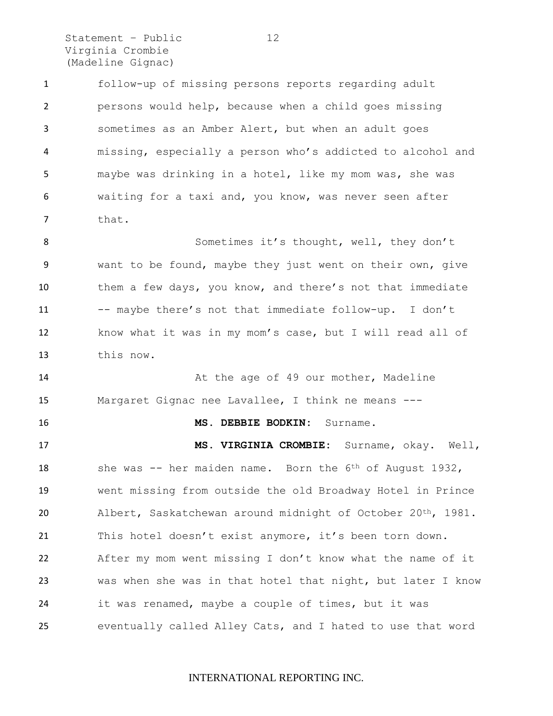Statement – Public 12 Virginia Crombie (Madeline Gignac)

 follow-up of missing persons reports regarding adult persons would help, because when a child goes missing sometimes as an Amber Alert, but when an adult goes missing, especially a person who's addicted to alcohol and maybe was drinking in a hotel, like my mom was, she was waiting for a taxi and, you know, was never seen after that. 8 Sometimes it's thought, well, they don't want to be found, maybe they just went on their own, give them a few days, you know, and there's not that immediate

 know what it was in my mom's case, but I will read all of this now.

11 -- maybe there's not that immediate follow-up. I don't

**14** At the age of 49 our mother, Madeline Margaret Gignac nee Lavallee, I think ne means ---

#### **MS. DEBBIE BODKIN:** Surname.

 **MS. VIRGINIA CROMBIE:** Surname, okay. Well, 18 she was -- her maiden name. Born the 6<sup>th</sup> of August 1932, went missing from outside the old Broadway Hotel in Prince 20 Albert, Saskatchewan around midnight of October 20<sup>th</sup>, 1981. This hotel doesn't exist anymore, it's been torn down. After my mom went missing I don't know what the name of it was when she was in that hotel that night, but later I know it was renamed, maybe a couple of times, but it was eventually called Alley Cats, and I hated to use that word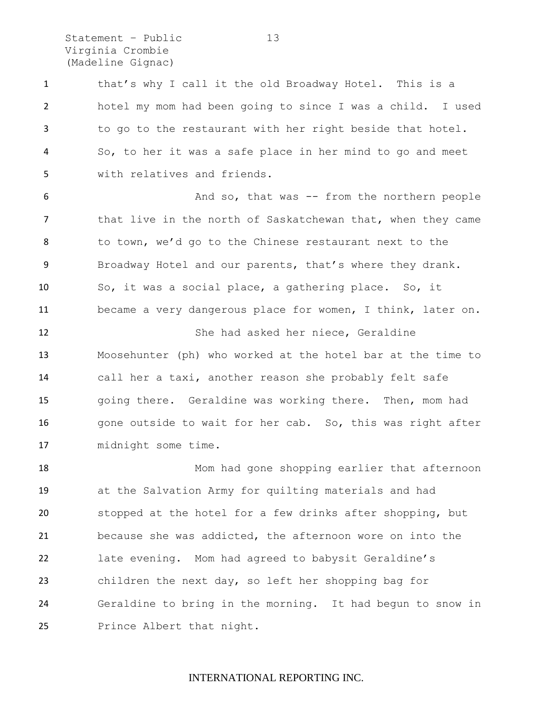Statement – Public 13 Virginia Crombie (Madeline Gignac)

1 that's why I call it the old Broadway Hotel. This is a hotel my mom had been going to since I was a child. I used to go to the restaurant with her right beside that hotel. So, to her it was a safe place in her mind to go and meet with relatives and friends.

 And so, that was -- from the northern people 7 that live in the north of Saskatchewan that, when they came to town, we'd go to the Chinese restaurant next to the Broadway Hotel and our parents, that's where they drank. So, it was a social place, a gathering place. So, it became a very dangerous place for women, I think, later on.

 She had asked her niece, Geraldine Moosehunter (ph) who worked at the hotel bar at the time to call her a taxi, another reason she probably felt safe going there. Geraldine was working there. Then, mom had 16 gone outside to wait for her cab. So, this was right after midnight some time.

 Mom had gone shopping earlier that afternoon at the Salvation Army for quilting materials and had stopped at the hotel for a few drinks after shopping, but because she was addicted, the afternoon wore on into the late evening. Mom had agreed to babysit Geraldine's children the next day, so left her shopping bag for Geraldine to bring in the morning. It had begun to snow in Prince Albert that night.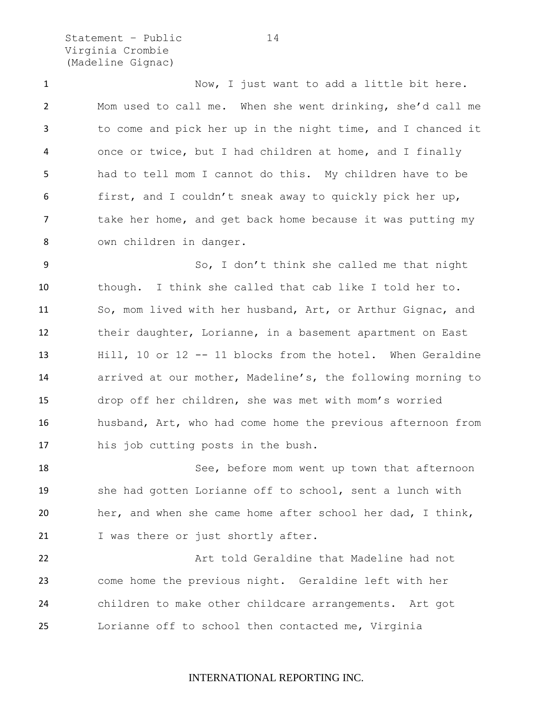Statement – Public 14 Virginia Crombie (Madeline Gignac)

 Now, I just want to add a little bit here. Mom used to call me. When she went drinking, she'd call me to come and pick her up in the night time, and I chanced it once or twice, but I had children at home, and I finally had to tell mom I cannot do this. My children have to be first, and I couldn't sneak away to quickly pick her up, 7 take her home, and get back home because it was putting my own children in danger.

 So, I don't think she called me that night though. I think she called that cab like I told her to. So, mom lived with her husband, Art, or Arthur Gignac, and their daughter, Lorianne, in a basement apartment on East Hill, 10 or 12 -- 11 blocks from the hotel. When Geraldine arrived at our mother, Madeline's, the following morning to drop off her children, she was met with mom's worried husband, Art, who had come home the previous afternoon from his job cutting posts in the bush.

 See, before mom went up town that afternoon she had gotten Lorianne off to school, sent a lunch with her, and when she came home after school her dad, I think, 21 I was there or just shortly after.

**Art told Geraldine that Madeline had not**  come home the previous night. Geraldine left with her children to make other childcare arrangements. Art got Lorianne off to school then contacted me, Virginia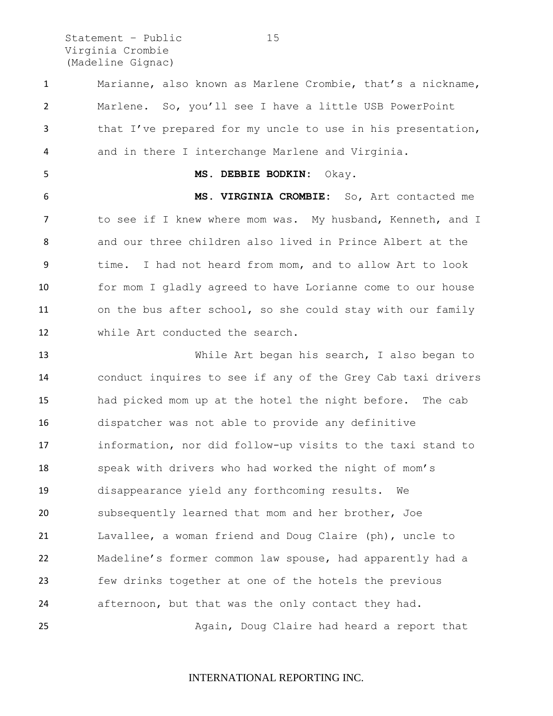Statement - Public 15 Virginia Crombie (Madeline Gignac)

 Marianne, also known as Marlene Crombie, that's a nickname, Marlene. So, you'll see I have a little USB PowerPoint that I've prepared for my uncle to use in his presentation, and in there I interchange Marlene and Virginia. **MS. DEBBIE BODKIN:** Okay. **MS. VIRGINIA CROMBIE:** So, Art contacted me 7 to see if I knew where mom was. My husband, Kenneth, and I and our three children also lived in Prince Albert at the time. I had not heard from mom, and to allow Art to look for mom I gladly agreed to have Lorianne come to our house on the bus after school, so she could stay with our family while Art conducted the search. While Art began his search, I also began to conduct inquires to see if any of the Grey Cab taxi drivers had picked mom up at the hotel the night before. The cab dispatcher was not able to provide any definitive information, nor did follow-up visits to the taxi stand to speak with drivers who had worked the night of mom's disappearance yield any forthcoming results. We subsequently learned that mom and her brother, Joe Lavallee, a woman friend and Doug Claire (ph), uncle to Madeline's former common law spouse, had apparently had a few drinks together at one of the hotels the previous afternoon, but that was the only contact they had. Again, Doug Claire had heard a report that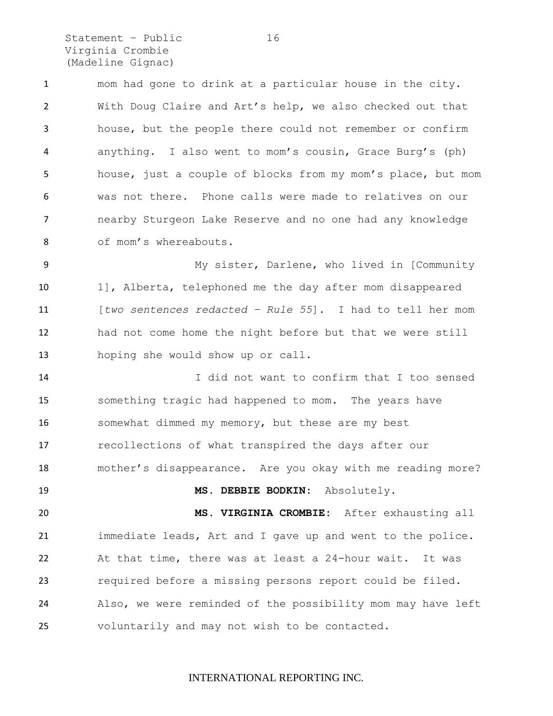Statement - Public 16 Virginia Crombie (Madeline Gignac)

 mom had gone to drink at a particular house in the city. With Doug Claire and Art's help, we also checked out that house, but the people there could not remember or confirm anything. I also went to mom's cousin, Grace Burg's (ph) house, just a couple of blocks from my mom's place, but mom was not there. Phone calls were made to relatives on our nearby Sturgeon Lake Reserve and no one had any knowledge 8 of mom's whereabouts.

 My sister, Darlene, who lived in [Community 1], Alberta, telephoned me the day after mom disappeared [*two sentences redacted – Rule 55*]. I had to tell her mom had not come home the night before but that we were still hoping she would show up or call.

 I did not want to confirm that I too sensed something tragic had happened to mom. The years have somewhat dimmed my memory, but these are my best recollections of what transpired the days after our mother's disappearance. Are you okay with me reading more? **MS. DEBBIE BODKIN:** Absolutely. **MS. VIRGINIA CROMBIE:** After exhausting all

 immediate leads, Art and I gave up and went to the police. At that time, there was at least a 24-hour wait. It was required before a missing persons report could be filed. Also, we were reminded of the possibility mom may have left voluntarily and may not wish to be contacted.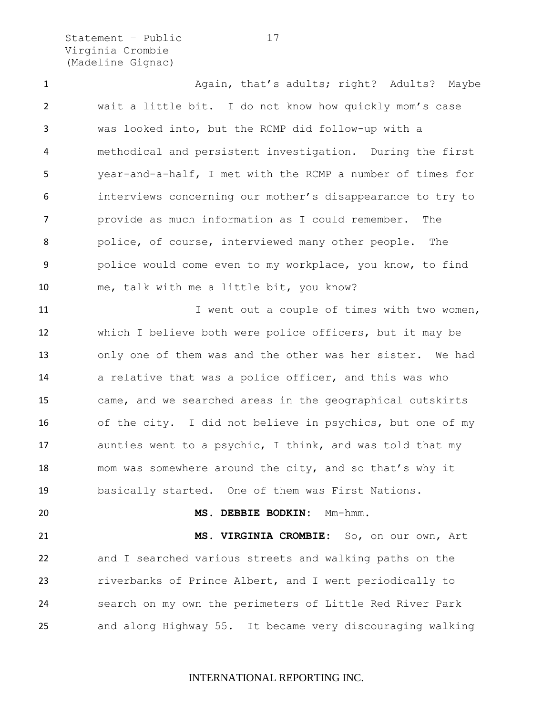Statement – Public 17 Virginia Crombie (Madeline Gignac)

1 Again, that's adults; right? Adults? Maybe wait a little bit. I do not know how quickly mom's case was looked into, but the RCMP did follow-up with a methodical and persistent investigation. During the first year-and-a-half, I met with the RCMP a number of times for interviews concerning our mother's disappearance to try to provide as much information as I could remember. The police, of course, interviewed many other people. The police would come even to my workplace, you know, to find me, talk with me a little bit, you know? 11 I went out a couple of times with two women, which I believe both were police officers, but it may be only one of them was and the other was her sister. We had 14 a relative that was a police officer, and this was who came, and we searched areas in the geographical outskirts of the city. I did not believe in psychics, but one of my aunties went to a psychic, I think, and was told that my mom was somewhere around the city, and so that's why it basically started. One of them was First Nations. **MS. DEBBIE BODKIN:** Mm-hmm. **MS. VIRGINIA CROMBIE:** So, on our own, Art and I searched various streets and walking paths on the riverbanks of Prince Albert, and I went periodically to search on my own the perimeters of Little Red River Park and along Highway 55. It became very discouraging walking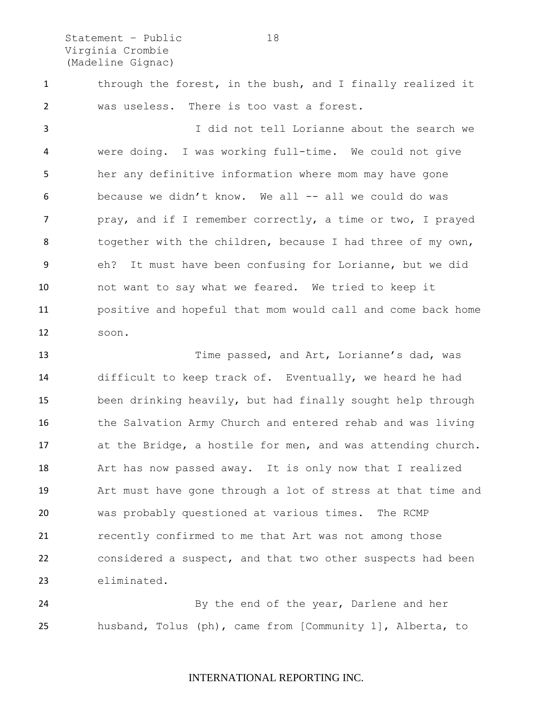Statement - Public 18 Virginia Crombie (Madeline Gignac)

 through the forest, in the bush, and I finally realized it was useless. There is too vast a forest.

 I did not tell Lorianne about the search we were doing. I was working full-time. We could not give her any definitive information where mom may have gone 6 because we didn't know. We all -- all we could do was 7 pray, and if I remember correctly, a time or two, I prayed 8 together with the children, because I had three of my own, eh? It must have been confusing for Lorianne, but we did not want to say what we feared. We tried to keep it positive and hopeful that mom would call and come back home soon.

 Time passed, and Art, Lorianne's dad, was difficult to keep track of. Eventually, we heard he had been drinking heavily, but had finally sought help through the Salvation Army Church and entered rehab and was living at the Bridge, a hostile for men, and was attending church. Art has now passed away. It is only now that I realized Art must have gone through a lot of stress at that time and was probably questioned at various times. The RCMP recently confirmed to me that Art was not among those considered a suspect, and that two other suspects had been eliminated.

 By the end of the year, Darlene and her husband, Tolus (ph), came from [Community 1], Alberta, to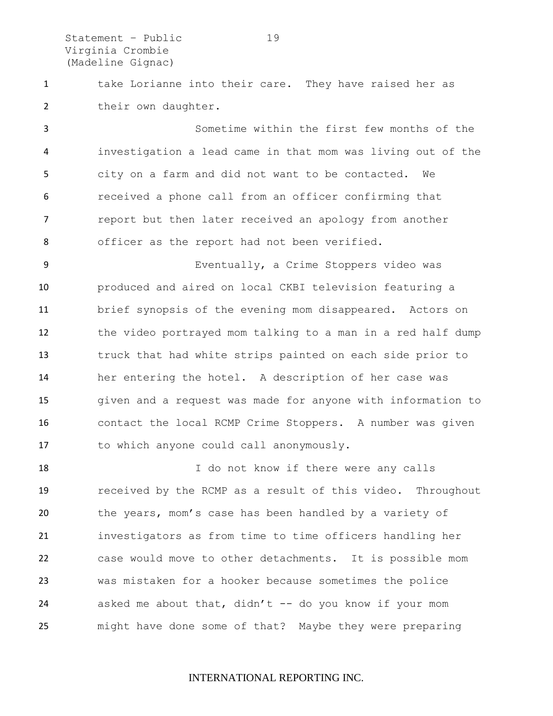Statement – Public 19 Virginia Crombie (Madeline Gignac)

1 take Lorianne into their care. They have raised her as their own daughter.

 Sometime within the first few months of the investigation a lead came in that mom was living out of the city on a farm and did not want to be contacted. We received a phone call from an officer confirming that report but then later received an apology from another officer as the report had not been verified.

 Eventually, a Crime Stoppers video was produced and aired on local CKBI television featuring a brief synopsis of the evening mom disappeared. Actors on the video portrayed mom talking to a man in a red half dump truck that had white strips painted on each side prior to her entering the hotel. A description of her case was given and a request was made for anyone with information to contact the local RCMP Crime Stoppers. A number was given to which anyone could call anonymously.

18 18 I do not know if there were any calls received by the RCMP as a result of this video. Throughout the years, mom's case has been handled by a variety of investigators as from time to time officers handling her case would move to other detachments. It is possible mom was mistaken for a hooker because sometimes the police 24 asked me about that, didn't  $-$  do you know if your mom might have done some of that? Maybe they were preparing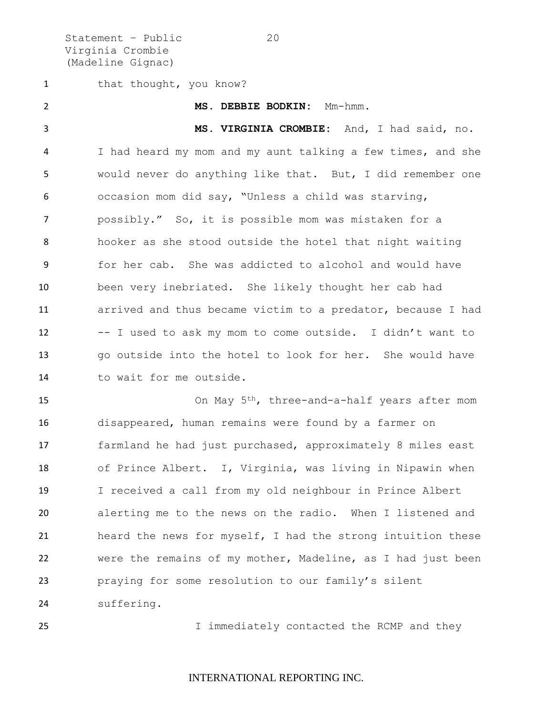Statement - Public 20 Virginia Crombie (Madeline Gignac)

1 that thought, you know?

 **MS. DEBBIE BODKIN:** Mm-hmm. **MS. VIRGINIA CROMBIE:** And, I had said, no. I had heard my mom and my aunt talking a few times, and she would never do anything like that. But, I did remember one occasion mom did say, "Unless a child was starving, possibly." So, it is possible mom was mistaken for a hooker as she stood outside the hotel that night waiting for her cab. She was addicted to alcohol and would have been very inebriated. She likely thought her cab had arrived and thus became victim to a predator, because I had -- I used to ask my mom to come outside. I didn't want to go outside into the hotel to look for her. She would have 14 to wait for me outside.

15 On May 5<sup>th</sup>, three-and-a-half years after mom disappeared, human remains were found by a farmer on farmland he had just purchased, approximately 8 miles east of Prince Albert. I, Virginia, was living in Nipawin when I received a call from my old neighbour in Prince Albert alerting me to the news on the radio. When I listened and heard the news for myself, I had the strong intuition these were the remains of my mother, Madeline, as I had just been praying for some resolution to our family's silent suffering.

25 I immediately contacted the RCMP and they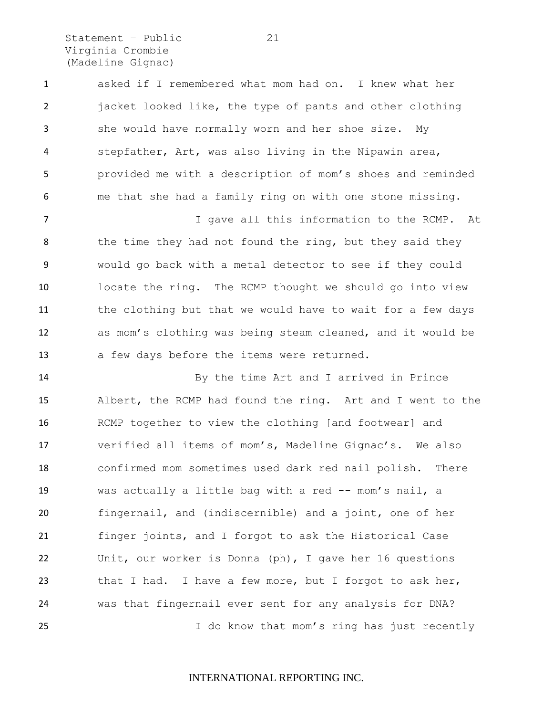Statement - Public 21 Virginia Crombie (Madeline Gignac)

 asked if I remembered what mom had on. I knew what her jacket looked like, the type of pants and other clothing she would have normally worn and her shoe size. My stepfather, Art, was also living in the Nipawin area, provided me with a description of mom's shoes and reminded me that she had a family ring on with one stone missing.

7 I gave all this information to the RCMP. At 8 the time they had not found the ring, but they said they would go back with a metal detector to see if they could locate the ring. The RCMP thought we should go into view the clothing but that we would have to wait for a few days as mom's clothing was being steam cleaned, and it would be a few days before the items were returned.

 By the time Art and I arrived in Prince Albert, the RCMP had found the ring. Art and I went to the RCMP together to view the clothing [and footwear] and verified all items of mom's, Madeline Gignac's. We also confirmed mom sometimes used dark red nail polish. There was actually a little bag with a red -- mom's nail, a fingernail, and (indiscernible) and a joint, one of her finger joints, and I forgot to ask the Historical Case Unit, our worker is Donna (ph), I gave her 16 questions 23 that I had. I have a few more, but I forgot to ask her, was that fingernail ever sent for any analysis for DNA? I do know that mom's ring has just recently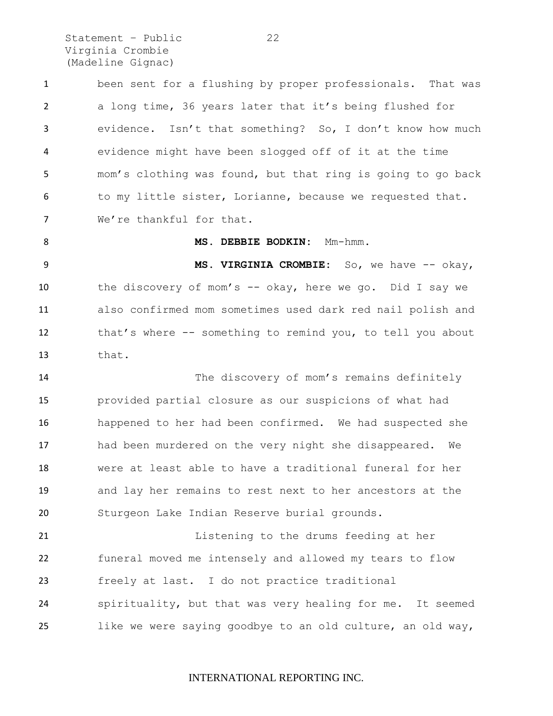Statement - Public 22 Virginia Crombie (Madeline Gignac)

 been sent for a flushing by proper professionals. That was a long time, 36 years later that it's being flushed for evidence. Isn't that something? So, I don't know how much evidence might have been slogged off of it at the time mom's clothing was found, but that ring is going to go back 6 to my little sister, Lorianne, because we requested that. 7 We're thankful for that.

 **MS. VIRGINIA CROMBIE:** So, we have -- okay, the discovery of mom's -- okay, here we go. Did I say we also confirmed mom sometimes used dark red nail polish and that's where -- something to remind you, to tell you about that.

8 MS. DEBBIE BODKIN: Mm-hmm.

 The discovery of mom's remains definitely provided partial closure as our suspicions of what had happened to her had been confirmed. We had suspected she had been murdered on the very night she disappeared. We were at least able to have a traditional funeral for her and lay her remains to rest next to her ancestors at the Sturgeon Lake Indian Reserve burial grounds.

 Listening to the drums feeding at her funeral moved me intensely and allowed my tears to flow freely at last. I do not practice traditional spirituality, but that was very healing for me. It seemed like we were saying goodbye to an old culture, an old way,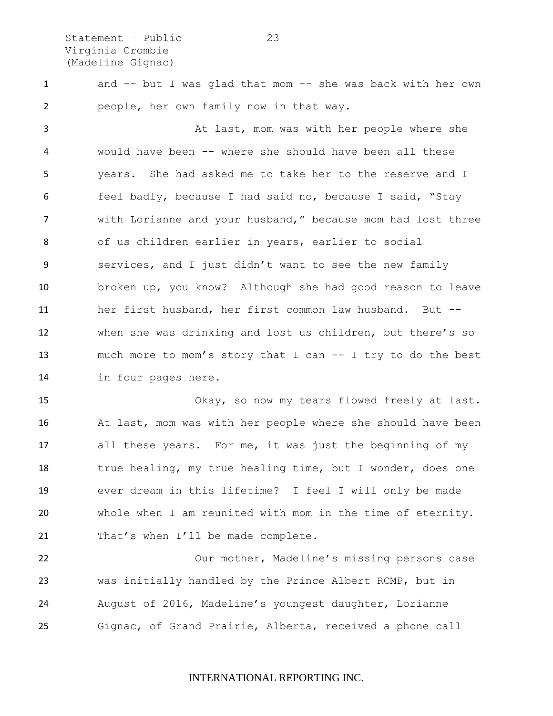Statement – Public 23 Virginia Crombie (Madeline Gignac)

1 and -- but I was glad that mom -- she was back with her own people, her own family now in that way.

 At last, mom was with her people where she would have been -- where she should have been all these years. She had asked me to take her to the reserve and I feel badly, because I had said no, because I said, "Stay with Lorianne and your husband," because mom had lost three of us children earlier in years, earlier to social services, and I just didn't want to see the new family broken up, you know? Although she had good reason to leave her first husband, her first common law husband. But -- when she was drinking and lost us children, but there's so much more to mom's story that I can -- I try to do the best in four pages here.

 Okay, so now my tears flowed freely at last. At last, mom was with her people where she should have been all these years. For me, it was just the beginning of my 18 true healing, my true healing time, but I wonder, does one ever dream in this lifetime? I feel I will only be made whole when I am reunited with mom in the time of eternity. 21 That's when I'll be made complete.

 Our mother, Madeline's missing persons case was initially handled by the Prince Albert RCMP, but in August of 2016, Madeline's youngest daughter, Lorianne Gignac, of Grand Prairie, Alberta, received a phone call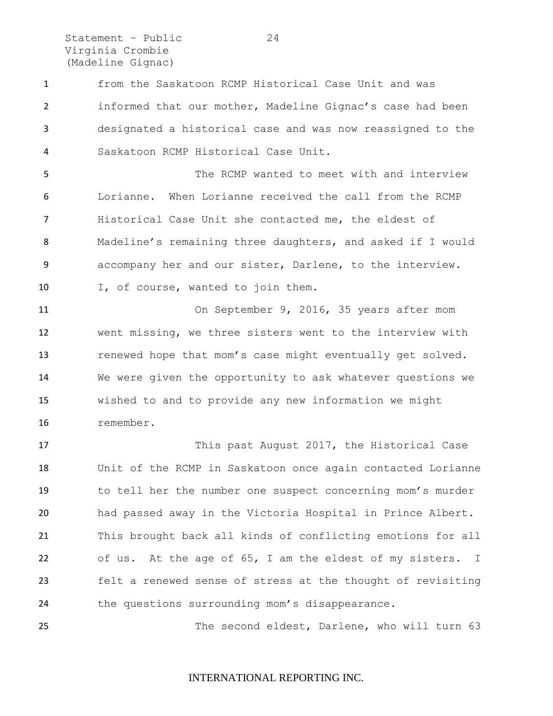Statement – Public 24 Virginia Crombie (Madeline Gignac)

 from the Saskatoon RCMP Historical Case Unit and was informed that our mother, Madeline Gignac's case had been designated a historical case and was now reassigned to the Saskatoon RCMP Historical Case Unit.

 The RCMP wanted to meet with and interview Lorianne. When Lorianne received the call from the RCMP Historical Case Unit she contacted me, the eldest of Madeline's remaining three daughters, and asked if I would accompany her and our sister, Darlene, to the interview. I, of course, wanted to join them.

 On September 9, 2016, 35 years after mom went missing, we three sisters went to the interview with renewed hope that mom's case might eventually get solved. We were given the opportunity to ask whatever questions we wished to and to provide any new information we might remember.

 This past August 2017, the Historical Case Unit of the RCMP in Saskatoon once again contacted Lorianne to tell her the number one suspect concerning mom's murder had passed away in the Victoria Hospital in Prince Albert. This brought back all kinds of conflicting emotions for all of us. At the age of 65, I am the eldest of my sisters. I felt a renewed sense of stress at the thought of revisiting the questions surrounding mom's disappearance.

The second eldest, Darlene, who will turn 63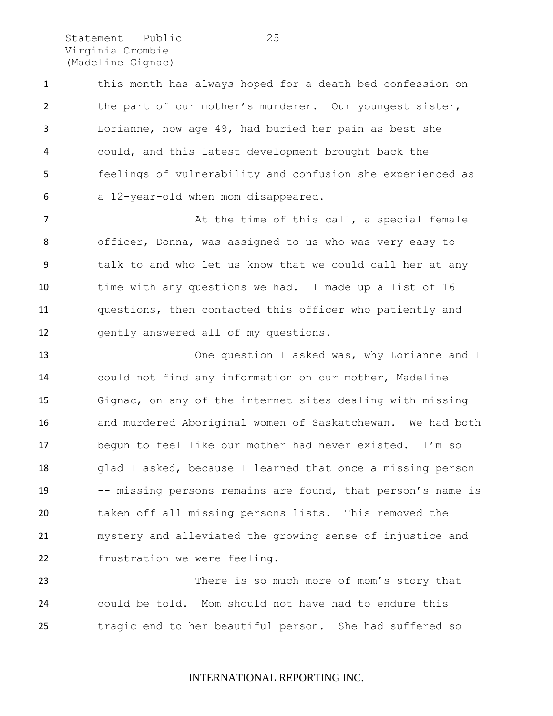Statement – Public 25 Virginia Crombie (Madeline Gignac)

 this month has always hoped for a death bed confession on the part of our mother's murderer. Our youngest sister, Lorianne, now age 49, had buried her pain as best she could, and this latest development brought back the feelings of vulnerability and confusion she experienced as a 12-year-old when mom disappeared.

7 a maturism at the time of this call, a special female officer, Donna, was assigned to us who was very easy to talk to and who let us know that we could call her at any time with any questions we had. I made up a list of 16 questions, then contacted this officer who patiently and gently answered all of my questions.

 One question I asked was, why Lorianne and I could not find any information on our mother, Madeline Gignac, on any of the internet sites dealing with missing and murdered Aboriginal women of Saskatchewan. We had both begun to feel like our mother had never existed. I'm so glad I asked, because I learned that once a missing person 19 -- missing persons remains are found, that person's name is taken off all missing persons lists. This removed the mystery and alleviated the growing sense of injustice and frustration we were feeling.

23 There is so much more of mom's story that could be told. Mom should not have had to endure this tragic end to her beautiful person. She had suffered so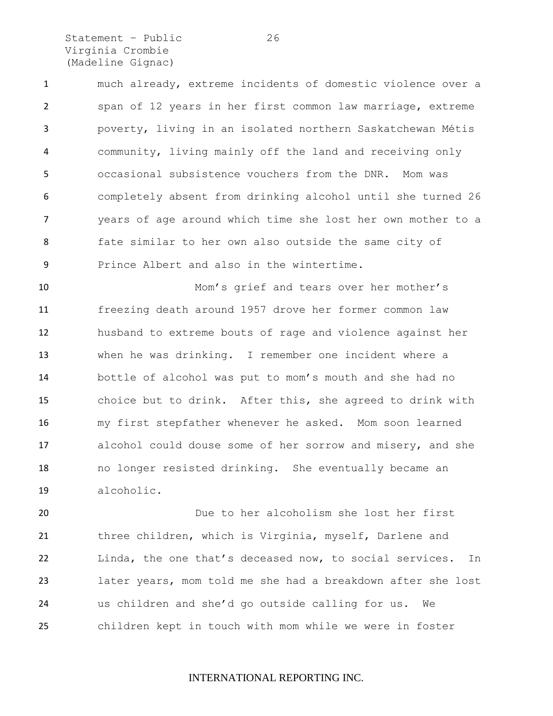Statement - Public 26 Virginia Crombie (Madeline Gignac)

 much already, extreme incidents of domestic violence over a span of 12 years in her first common law marriage, extreme poverty, living in an isolated northern Saskatchewan Métis community, living mainly off the land and receiving only occasional subsistence vouchers from the DNR. Mom was completely absent from drinking alcohol until she turned 26 years of age around which time she lost her own mother to a fate similar to her own also outside the same city of Prince Albert and also in the wintertime.

 Mom's grief and tears over her mother's freezing death around 1957 drove her former common law husband to extreme bouts of rage and violence against her when he was drinking. I remember one incident where a bottle of alcohol was put to mom's mouth and she had no choice but to drink. After this, she agreed to drink with my first stepfather whenever he asked. Mom soon learned alcohol could douse some of her sorrow and misery, and she no longer resisted drinking. She eventually became an alcoholic.

 Due to her alcoholism she lost her first three children, which is Virginia, myself, Darlene and Linda, the one that's deceased now, to social services. In later years, mom told me she had a breakdown after she lost us children and she'd go outside calling for us. We children kept in touch with mom while we were in foster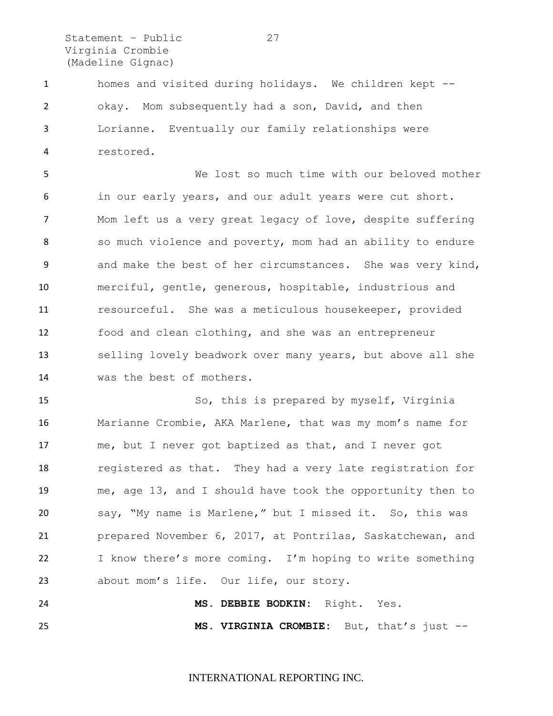Statement - Public 27 Virginia Crombie (Madeline Gignac)

 homes and visited during holidays. We children kept -- okay. Mom subsequently had a son, David, and then Lorianne. Eventually our family relationships were restored.

 We lost so much time with our beloved mother in our early years, and our adult years were cut short. Mom left us a very great legacy of love, despite suffering 8 so much violence and poverty, mom had an ability to endure and make the best of her circumstances. She was very kind, merciful, gentle, generous, hospitable, industrious and resourceful. She was a meticulous housekeeper, provided food and clean clothing, and she was an entrepreneur selling lovely beadwork over many years, but above all she was the best of mothers.

 So, this is prepared by myself, Virginia Marianne Crombie, AKA Marlene, that was my mom's name for me, but I never got baptized as that, and I never got registered as that. They had a very late registration for me, age 13, and I should have took the opportunity then to say, "My name is Marlene," but I missed it. So, this was prepared November 6, 2017, at Pontrilas, Saskatchewan, and I know there's more coming. I'm hoping to write something about mom's life. Our life, our story.

 **MS. DEBBIE BODKIN:** Right. Yes. **MS. VIRGINIA CROMBIE:** But, that's just --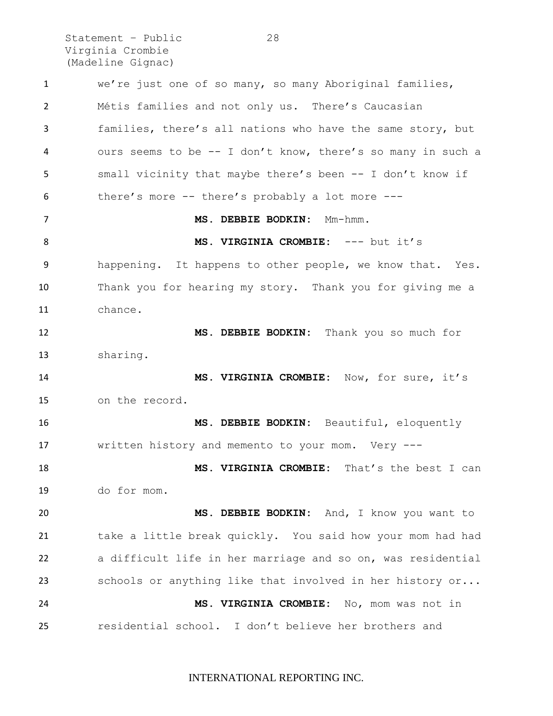Statement – Public 28 Virginia Crombie (Madeline Gignac)

 we're just one of so many, so many Aboriginal families, Métis families and not only us. There's Caucasian families, there's all nations who have the same story, but ours seems to be -- I don't know, there's so many in such a small vicinity that maybe there's been -- I don't know if there's more -- there's probably a lot more --- **MS. DEBBIE BODKIN:** Mm-hmm. **MS. VIRGINIA CROMBIE:** --- but it's happening. It happens to other people, we know that. Yes. Thank you for hearing my story. Thank you for giving me a chance. **MS. DEBBIE BODKIN:** Thank you so much for sharing. **MS. VIRGINIA CROMBIE:** Now, for sure, it's on the record. **MS. DEBBIE BODKIN:** Beautiful, eloquently written history and memento to your mom. Very --- **MS. VIRGINIA CROMBIE:** That's the best I can do for mom. **MS. DEBBIE BODKIN:** And, I know you want to take a little break quickly. You said how your mom had had a difficult life in her marriage and so on, was residential schools or anything like that involved in her history or... **MS. VIRGINIA CROMBIE:** No, mom was not in residential school. I don't believe her brothers and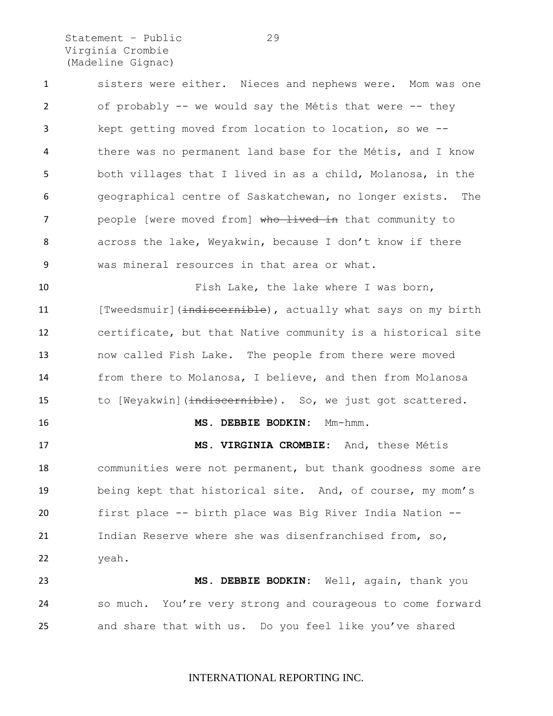Statement – Public 29 Virginia Crombie (Madeline Gignac)

 sisters were either. Nieces and nephews were. Mom was one of probably -- we would say the Métis that were -- they kept getting moved from location to location, so we -- there was no permanent land base for the Métis, and I know both villages that I lived in as a child, Molanosa, in the geographical centre of Saskatchewan, no longer exists. The 7 people [were moved from] who lived in that community to across the lake, Weyakwin, because I don't know if there was mineral resources in that area or what.

10 Fish Lake, the lake where I was born, 11 [Tweedsmuir](indiscernible), actually what says on my birth certificate, but that Native community is a historical site now called Fish Lake. The people from there were moved from there to Molanosa, I believe, and then from Molanosa 15 to [Weyakwin](indiscernible). So, we just got scattered.

#### **MS. DEBBIE BODKIN:** Mm-hmm.

 **MS. VIRGINIA CROMBIE:** And, these Métis 18 communities were not permanent, but thank goodness some are being kept that historical site. And, of course, my mom's first place -- birth place was Big River India Nation -- Indian Reserve where she was disenfranchised from, so, yeah.

 **MS. DEBBIE BODKIN:** Well, again, thank you so much. You're very strong and courageous to come forward and share that with us. Do you feel like you've shared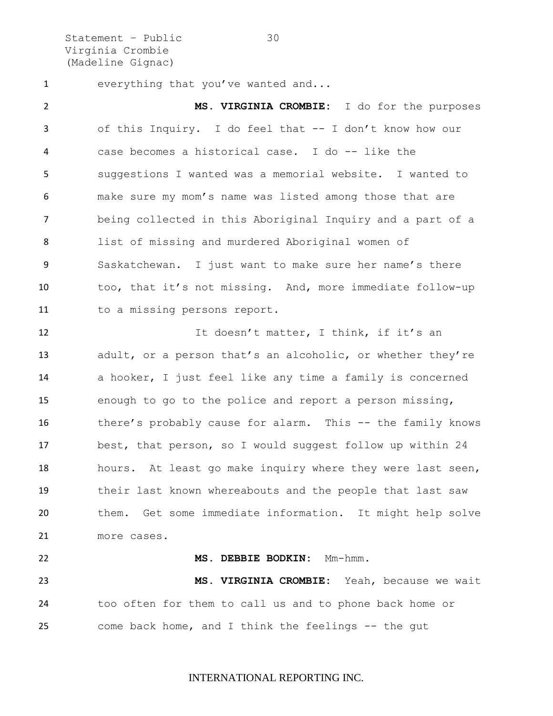Statement – Public 30 Virginia Crombie (Madeline Gignac)

everything that you've wanted and...

 **MS. VIRGINIA CROMBIE:** I do for the purposes of this Inquiry. I do feel that -- I don't know how our case becomes a historical case. I do -- like the suggestions I wanted was a memorial website. I wanted to make sure my mom's name was listed among those that are being collected in this Aboriginal Inquiry and a part of a list of missing and murdered Aboriginal women of Saskatchewan. I just want to make sure her name's there too, that it's not missing. And, more immediate follow-up 11 to a missing persons report.

12 It doesn't matter, I think, if it's an 13 adult, or a person that's an alcoholic, or whether they're a hooker, I just feel like any time a family is concerned enough to go to the police and report a person missing, there's probably cause for alarm. This -- the family knows best, that person, so I would suggest follow up within 24 hours. At least go make inquiry where they were last seen, their last known whereabouts and the people that last saw them. Get some immediate information. It might help solve more cases.

**MS. DEBBIE BODKIN:** Mm-hmm.

 **MS. VIRGINIA CROMBIE:** Yeah, because we wait too often for them to call us and to phone back home or come back home, and I think the feelings -- the gut